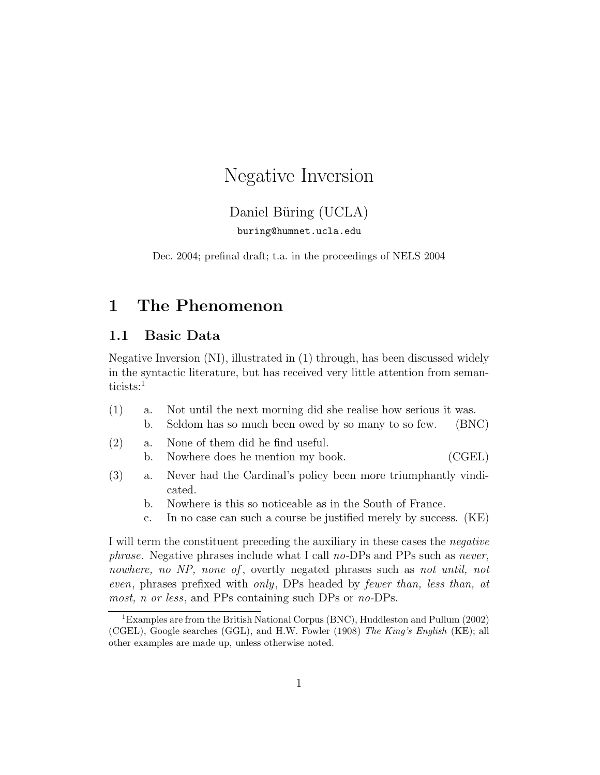# Negative Inversion

### Daniel Büring (UCLA) buring@humnet.ucla.edu

Dec. 2004; prefinal draft; t.a. in the proceedings of NELS 2004

# 1 The Phenomenon

#### 1.1 Basic Data

Negative Inversion (NI), illustrated in (1) through, has been discussed widely in the syntactic literature, but has received very little attention from semanticists:<sup>1</sup>

- (1) a. Not until the next morning did she realise how serious it was. b. Seldom has so much been owed by so many to so few. (BNC)
- (2) a. None of them did he find useful. b. Nowhere does he mention my book. (CGEL)
- (3) a. Never had the Cardinal's policy been more triumphantly vindicated.
	- b. Nowhere is this so noticeable as in the South of France.
	- c. In no case can such a course be justified merely by success. (KE)

I will term the constituent preceding the auxiliary in these cases the negative phrase. Negative phrases include what I call no-DPs and PPs such as never, nowhere, no NP, none of, overtly negated phrases such as not until, not even, phrases prefixed with only, DPs headed by fewer than, less than, at most, n or less, and PPs containing such DPs or no-DPs.

<sup>1</sup>Examples are from the British National Corpus (BNC), Huddleston and Pullum (2002) (CGEL), Google searches (GGL), and H.W. Fowler (1908) The King's English (KE); all other examples are made up, unless otherwise noted.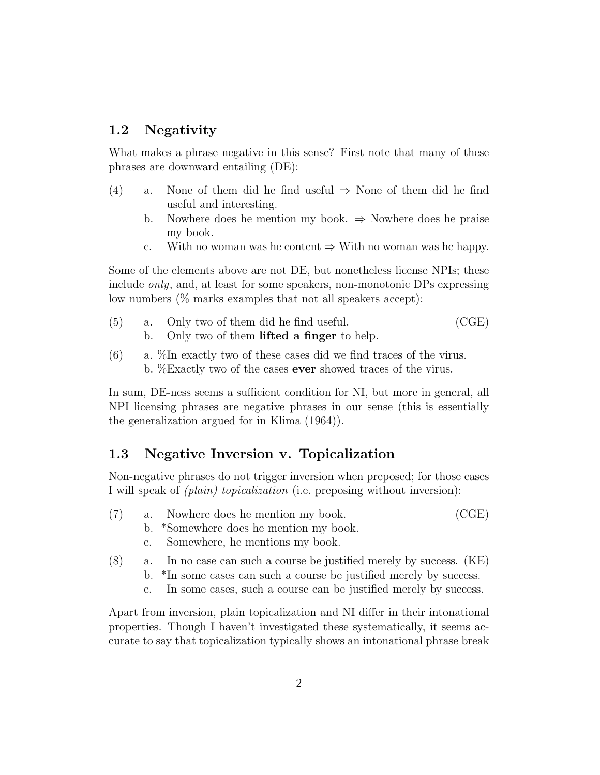#### 1.2 Negativity

What makes a phrase negative in this sense? First note that many of these phrases are downward entailing (DE):

- (4) a. None of them did he find useful  $\Rightarrow$  None of them did he find useful and interesting.
	- b. Nowhere does he mention my book.  $\Rightarrow$  Nowhere does he praise my book.
	- c. With no woman was he content  $\Rightarrow$  With no woman was he happy.

Some of the elements above are not DE, but nonetheless license NPIs; these include only, and, at least for some speakers, non-monotonic DPs expressing low numbers (% marks examples that not all speakers accept):

- (5) a. Only two of them did he find useful. (CGE) b. Only two of them lifted a finger to help.
- (6) a. %In exactly two of these cases did we find traces of the virus. b. %Exactly two of the cases **ever** showed traces of the virus.

In sum, DE-ness seems a sufficient condition for NI, but more in general, all NPI licensing phrases are negative phrases in our sense (this is essentially the generalization argued for in Klima (1964)).

#### 1.3 Negative Inversion v. Topicalization

Non-negative phrases do not trigger inversion when preposed; for those cases I will speak of (plain) topicalization (i.e. preposing without inversion):

(7) a. Nowhere does he mention my book. (CGE)

b. \*Somewhere does he mention my book.

- c. Somewhere, he mentions my book.
- (8) a. In no case can such a course be justified merely by success. (KE)
	- b. \*In some cases can such a course be justified merely by success.
	- c. In some cases, such a course can be justified merely by success.

Apart from inversion, plain topicalization and NI differ in their intonational properties. Though I haven't investigated these systematically, it seems accurate to say that topicalization typically shows an intonational phrase break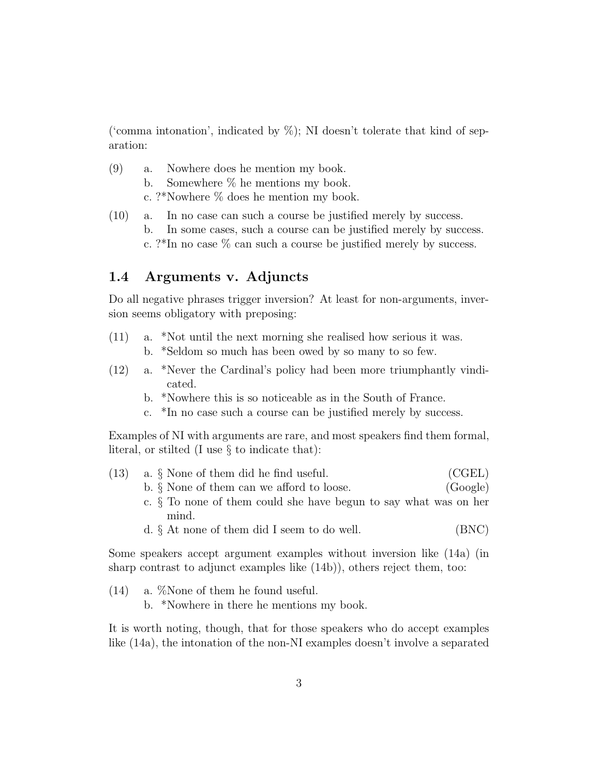('comma intonation', indicated by  $\%$ ); NI doesn't tolerate that kind of separation:

- (9) a. Nowhere does he mention my book. b. Somewhere % he mentions my book. c. ?\*Nowhere % does he mention my book.
- (10) a. In no case can such a course be justified merely by success. b. In some cases, such a course can be justified merely by success. c. ?\*In no case  $\%$  can such a course be justified merely by success.

#### 1.4 Arguments v. Adjuncts

Do all negative phrases trigger inversion? At least for non-arguments, inversion seems obligatory with preposing:

- (11) a. \*Not until the next morning she realised how serious it was. b. \*Seldom so much has been owed by so many to so few.
- (12) a. \*Never the Cardinal's policy had been more triumphantly vindicated.
	- b. \*Nowhere this is so noticeable as in the South of France.
	- c. \*In no case such a course can be justified merely by success.

Examples of NI with arguments are rare, and most speakers find them formal, literal, or stilted (I use § to indicate that):

| (13) | a. § None of them did he find useful.                               | (CGEL)   |
|------|---------------------------------------------------------------------|----------|
|      | b. $\S$ None of them can we afford to loose.                        | (Google) |
|      | c. $\S$ To none of them could she have begun to say what was on her |          |
|      | mind.                                                               |          |
|      | d. $\S$ At none of them did I seem to do well.                      | (BNC)    |

Some speakers accept argument examples without inversion like (14a) (in sharp contrast to adjunct examples like (14b)), others reject them, too:

(14) a. %None of them he found useful. b. \*Nowhere in there he mentions my book.

It is worth noting, though, that for those speakers who do accept examples like (14a), the intonation of the non-NI examples doesn't involve a separated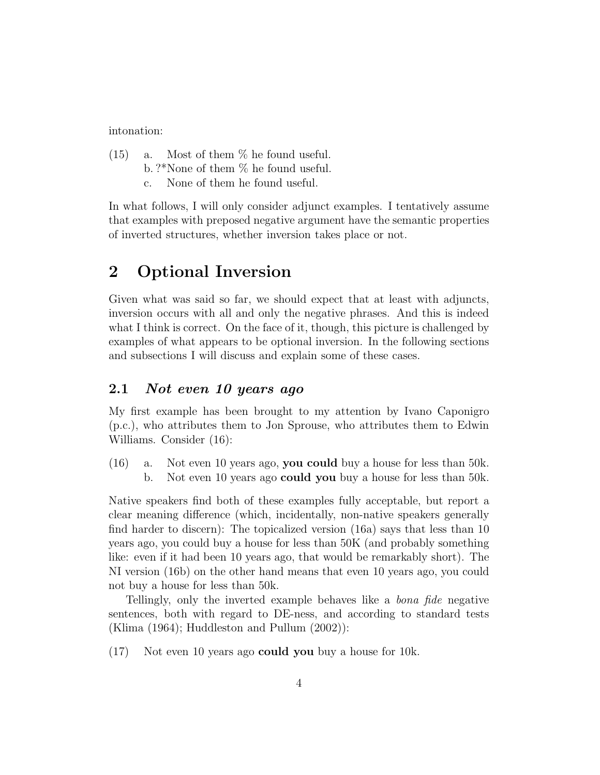intonation:

- (15) a. Most of them % he found useful. b. ?\*None of them % he found useful.
	- c. None of them he found useful.

In what follows, I will only consider adjunct examples. I tentatively assume that examples with preposed negative argument have the semantic properties of inverted structures, whether inversion takes place or not.

# 2 Optional Inversion

Given what was said so far, we should expect that at least with adjuncts, inversion occurs with all and only the negative phrases. And this is indeed what I think is correct. On the face of it, though, this picture is challenged by examples of what appears to be optional inversion. In the following sections and subsections I will discuss and explain some of these cases.

#### 2.1 Not even 10 years ago

My first example has been brought to my attention by Ivano Caponigro (p.c.), who attributes them to Jon Sprouse, who attributes them to Edwin Williams. Consider (16):

(16) a. Not even 10 years ago, you could buy a house for less than 50k. b. Not even 10 years ago could you buy a house for less than 50k.

Native speakers find both of these examples fully acceptable, but report a clear meaning difference (which, incidentally, non-native speakers generally find harder to discern): The topicalized version (16a) says that less than 10 years ago, you could buy a house for less than 50K (and probably something like: even if it had been 10 years ago, that would be remarkably short). The NI version (16b) on the other hand means that even 10 years ago, you could not buy a house for less than 50k.

Tellingly, only the inverted example behaves like a bona fide negative sentences, both with regard to DE-ness, and according to standard tests (Klima (1964); Huddleston and Pullum (2002)):

(17) Not even 10 years ago could you buy a house for 10k.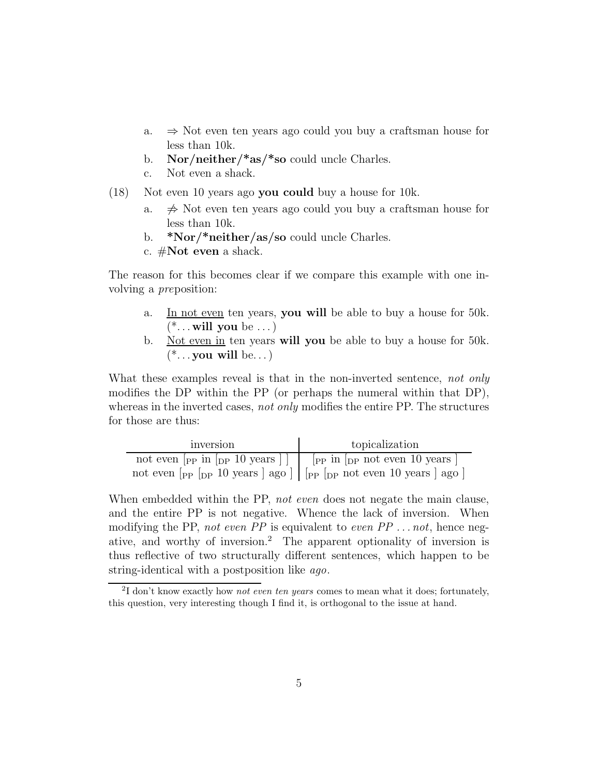- a. ⇒ Not even ten years ago could you buy a craftsman house for less than 10k.
- b. Nor/neither/ $*$ as/ $*$ so could uncle Charles.
- c. Not even a shack.

(18) Not even 10 years ago you could buy a house for 10k.

- a.  $\Rightarrow$  Not even ten years ago could you buy a craftsman house for less than 10k.
- b.  $*Nor/*neither/as/so could unele Charles.$
- c.  $\#\textbf{Not even}$  a shack.

The reason for this becomes clear if we compare this example with one involving a preposition:

- a. In not even ten years, you will be able to buy a house for 50k.  $(* \dots$  will you be  $\dots)$
- b. Not even in ten years will you be able to buy a house for 50k.  $(* \dots$  you will be...)

What these examples reveal is that in the non-inverted sentence, not only modifies the DP within the PP (or perhaps the numeral within that DP), whereas in the inverted cases, not only modifies the entire PP. The structures for those are thus:

| inversion                                                                                                                                                                                   | topicalization |
|---------------------------------------------------------------------------------------------------------------------------------------------------------------------------------------------|----------------|
| not even $\lceil_{\text{PP}} \text{ in } \lceil_{\text{DP}} 10 \text{ years} \rceil \rceil$   $\lceil_{\text{PP}} \text{ in } \lceil_{\text{DP}} \text{ not even } 10 \text{ years} \rceil$ |                |
| not even $\lceil_{PP} \rceil_{DP} 10$ years $\lceil$ ago $\rceil$ $\lceil$ $\lceil_{PP} \rceil_{DP}$ not even 10 years $\lceil$ ago $\rceil$                                                |                |

When embedded within the PP, not even does not negate the main clause, and the entire PP is not negative. Whence the lack of inversion. When modifying the PP, not even PP is equivalent to even  $PP \dots not$ , hence negative, and worthy of inversion.<sup>2</sup> The apparent optionality of inversion is thus reflective of two structurally different sentences, which happen to be string-identical with a postposition like ago.

<sup>&</sup>lt;sup>2</sup>I don't know exactly how *not even ten years* comes to mean what it does; fortunately, this question, very interesting though I find it, is orthogonal to the issue at hand.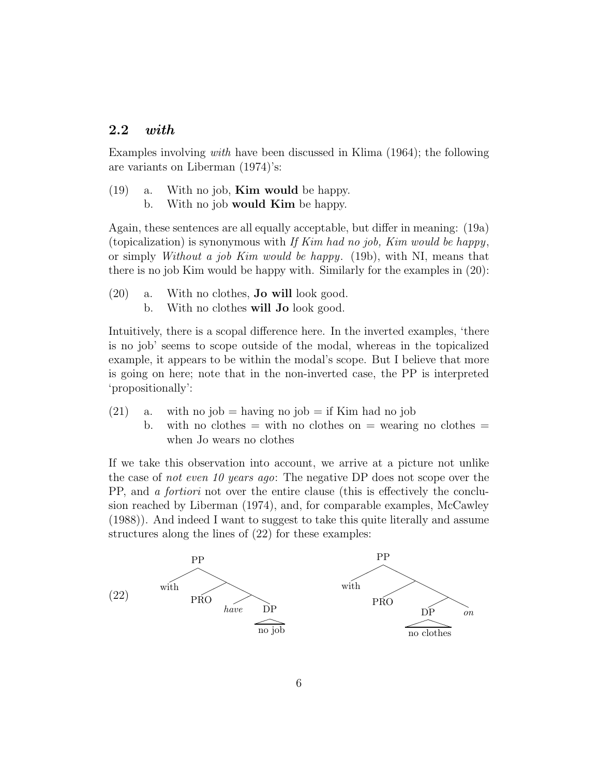#### 2.2 with

Examples involving with have been discussed in Klima (1964); the following are variants on Liberman (1974)'s:

 $(19)$  a. With no job, **Kim would** be happy. b. With no job would **Kim** be happy.

Again, these sentences are all equally acceptable, but differ in meaning: (19a) (topicalization) is synonymous with If Kim had no job, Kim would be happy, or simply Without a job Kim would be happy. (19b), with NI, means that there is no job Kim would be happy with. Similarly for the examples in (20):

- (20) a. With no clothes, Jo will look good.
	- b. With no clothes will **Jo** look good.

Intuitively, there is a scopal difference here. In the inverted examples, 'there is no job' seems to scope outside of the modal, whereas in the topicalized example, it appears to be within the modal's scope. But I believe that more is going on here; note that in the non-inverted case, the PP is interpreted 'propositionally':

- (21) a. with no job = having no job = if Kim had no job
	- b. with no clothes  $=$  with no clothes on  $=$  wearing no clothes  $=$ when Jo wears no clothes

If we take this observation into account, we arrive at a picture not unlike the case of not even 10 years ago: The negative DP does not scope over the PP, and a fortiori not over the entire clause (this is effectively the conclusion reached by Liberman (1974), and, for comparable examples, McCawley (1988)). And indeed I want to suggest to take this quite literally and assume structures along the lines of (22) for these examples:

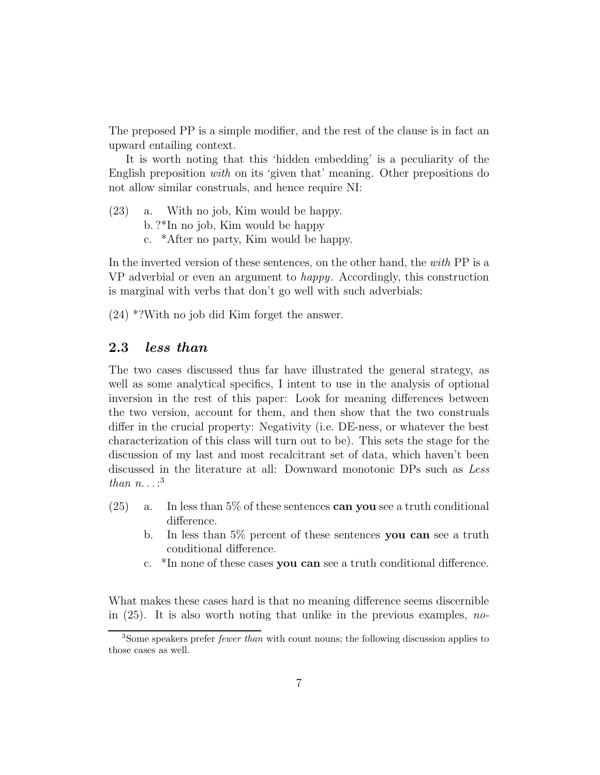The preposed PP is a simple modifier, and the rest of the clause is in fact an upward entailing context.

It is worth noting that this 'hidden embedding' is a peculiarity of the English preposition with on its 'given that' meaning. Other prepositions do not allow similar construals, and hence require NI:

(23) a. With no job, Kim would be happy. b. ?\*In no job, Kim would be happy c. \*After no party, Kim would be happy.

In the inverted version of these sentences, on the other hand, the with PP is a VP adverbial or even an argument to happy. Accordingly, this construction is marginal with verbs that don't go well with such adverbials:

(24) \*?With no job did Kim forget the answer.

#### 2.3 less than

The two cases discussed thus far have illustrated the general strategy, as well as some analytical specifics, I intent to use in the analysis of optional inversion in the rest of this paper: Look for meaning differences between the two version, account for them, and then show that the two construals differ in the crucial property: Negativity (i.e. DE-ness, or whatever the best characterization of this class will turn out to be). This sets the stage for the discussion of my last and most recalcitrant set of data, which haven't been discussed in the literature at all: Downward monotonic DPs such as Less than  $n \ldots$ :<sup>3</sup>

- (25) a. In less than 5% of these sentences can you see a truth conditional difference.
	- b. In less than 5% percent of these sentences you can see a truth conditional difference.
	- c. \*In none of these cases you can see a truth conditional difference.

What makes these cases hard is that no meaning difference seems discernible in  $(25)$ . It is also worth noting that unlike in the previous examples, no-

<sup>&</sup>lt;sup>3</sup>Some speakers prefer *fewer than* with count nouns; the following discussion applies to those cases as well.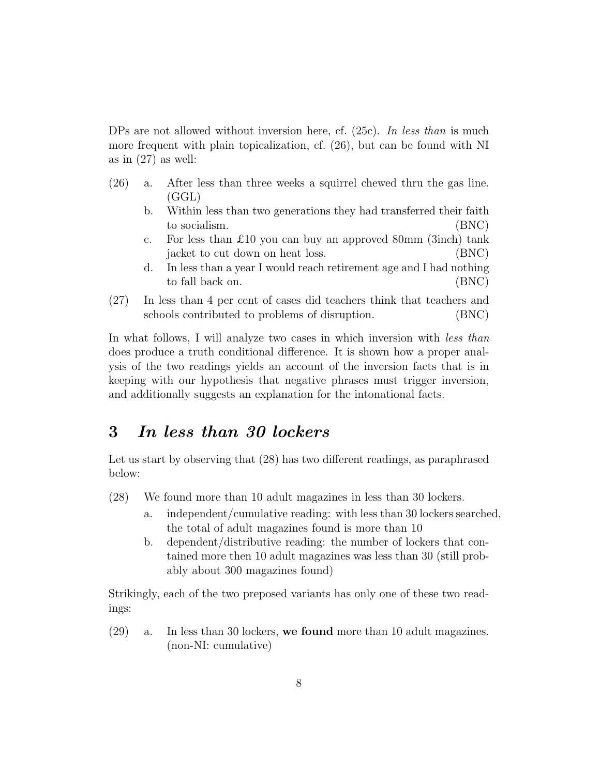DPs are not allowed without inversion here, cf.  $(25c)$ . In less than is much more frequent with plain topicalization, cf. (26), but can be found with NI as in  $(27)$  as well:

- (26) a. After less than three weeks a squirrel chewed thru the gas line. (GGL)
	- b. Within less than two generations they had transferred their faith to socialism. (BNC)
	- c. For less than £10 you can buy an approved 80mm (3inch) tank jacket to cut down on heat loss. (BNC)
	- d. In less than a year I would reach retirement age and I had nothing to fall back on. (BNC)
- (27) In less than 4 per cent of cases did teachers think that teachers and schools contributed to problems of disruption. (BNC)

In what follows, I will analyze two cases in which inversion with *less than* does produce a truth conditional difference. It is shown how a proper analysis of the two readings yields an account of the inversion facts that is in keeping with our hypothesis that negative phrases must trigger inversion, and additionally suggests an explanation for the intonational facts.

# 3 In less than 30 lockers

Let us start by observing that (28) has two different readings, as paraphrased below:

- (28) We found more than 10 adult magazines in less than 30 lockers.
	- a. independent/cumulative reading: with less than 30 lockers searched, the total of adult magazines found is more than 10
	- b. dependent/distributive reading: the number of lockers that contained more then 10 adult magazines was less than 30 (still probably about 300 magazines found)

Strikingly, each of the two preposed variants has only one of these two readings:

(29) a. In less than 30 lockers, we found more than 10 adult magazines. (non-NI: cumulative)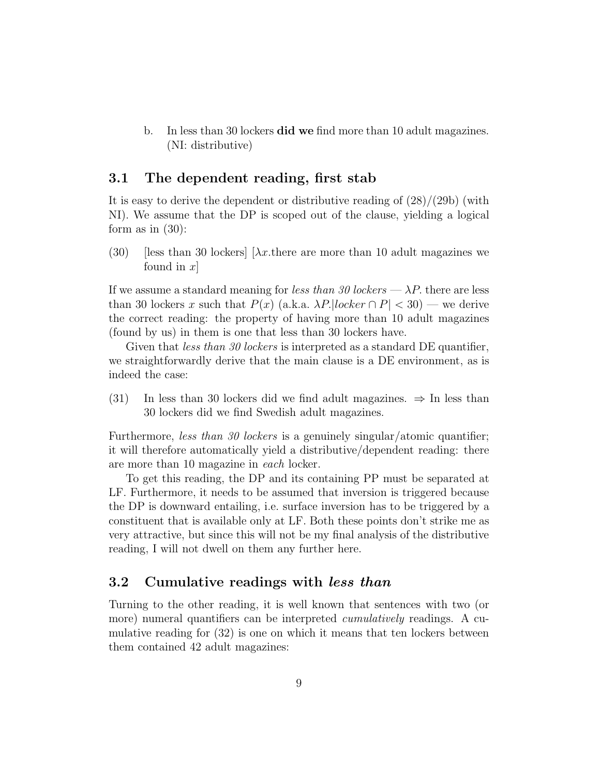b. In less than 30 lockers **did we** find more than 10 adult magazines. (NI: distributive)

#### 3.1 The dependent reading, first stab

It is easy to derive the dependent or distributive reading of  $(28)/(29b)$  (with NI). We assume that the DP is scoped out of the clause, yielding a logical form as in  $(30)$ :

(30) [less than 30 lockers]  $[\lambda x$  there are more than 10 adult magazines we found in  $x$ 

If we assume a standard meaning for less than 30 lockers  $-\lambda P$ , there are less than 30 lockers x such that  $P(x)$  (a.k.a.  $\lambda P$ . [locker  $\cap P$ ] < 30) — we derive the correct reading: the property of having more than 10 adult magazines (found by us) in them is one that less than 30 lockers have.

Given that *less than 30 lockers* is interpreted as a standard DE quantifier, we straightforwardly derive that the main clause is a DE environment, as is indeed the case:

(31) In less than 30 lockers did we find adult magazines.  $\Rightarrow$  In less than 30 lockers did we find Swedish adult magazines.

Furthermore, less than 30 lockers is a genuinely singular/atomic quantifier; it will therefore automatically yield a distributive/dependent reading: there are more than 10 magazine in each locker.

To get this reading, the DP and its containing PP must be separated at LF. Furthermore, it needs to be assumed that inversion is triggered because the DP is downward entailing, i.e. surface inversion has to be triggered by a constituent that is available only at LF. Both these points don't strike me as very attractive, but since this will not be my final analysis of the distributive reading, I will not dwell on them any further here.

#### 3.2 Cumulative readings with less than

Turning to the other reading, it is well known that sentences with two (or more) numeral quantifiers can be interpreted *cumulatively* readings. A cumulative reading for (32) is one on which it means that ten lockers between them contained 42 adult magazines: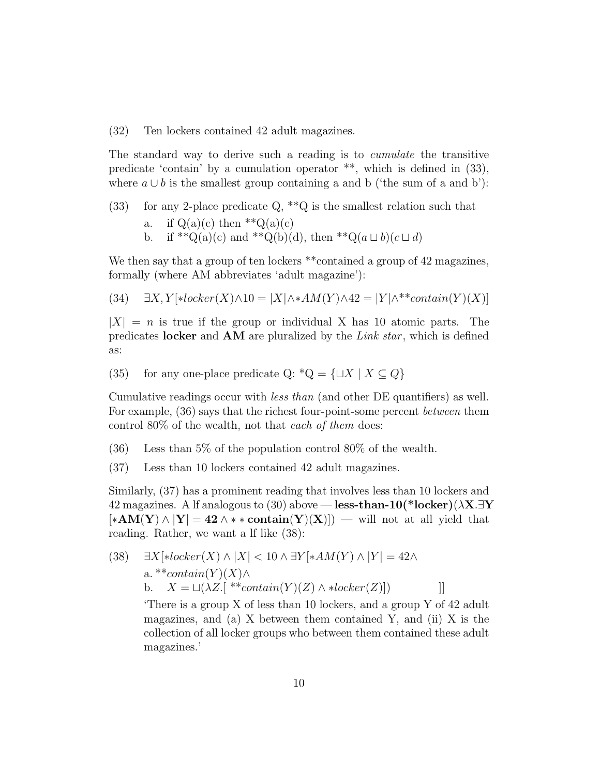(32) Ten lockers contained 42 adult magazines.

The standard way to derive such a reading is to *cumulate* the transitive predicate 'contain' by a cumulation operator  $**$ , which is defined in  $(33)$ , where  $a \cup b$  is the smallest group containing a and b ('the sum of a and b'):

(33) for any 2-place predicate  $Q, *Q$  is the smallest relation such that

- a. if  $Q(a)(c)$  then \*\* $Q(a)(c)$
- b. if \*\* $Q(a)(c)$  and \*\* $Q(b)(d)$ , then \*\* $Q(a \sqcup b)(c \sqcup d)$

We then say that a group of ten lockers \*\*contained a group of 42 magazines, formally (where AM abbreviates 'adult magazine'):

(34) 
$$
\exists X, Y[*locker(X) \land 10 = |X| \land *AM(Y) \land 42 = |Y| \land **contain(Y)(X)]
$$

 $|X| = n$  is true if the group or individual X has 10 atomic parts. The predicates locker and  $AM$  are pluralized by the Link star, which is defined as:

(35) for any one-place predicate Q:  $^*Q = \{\sqcup X \mid X \subseteq Q\}$ 

Cumulative readings occur with less than (and other DE quantifiers) as well. For example,  $(36)$  says that the richest four-point-some percent *between* them control 80% of the wealth, not that each of them does:

- (36) Less than 5% of the population control 80% of the wealth.
- (37) Less than 10 lockers contained 42 adult magazines.

Similarly, (37) has a prominent reading that involves less than 10 lockers and 42 magazines. A lf analogous to (30) above — less-than-10(\*locker)( $\lambda$ X. $\exists$ Y  $[*AM(Y) \wedge |Y| = 42 \wedge **contain(Y)(X)])$  — will not at all yield that reading. Rather, we want a lf like (38):

(38)  $\exists X[\ast locker(X) \wedge |X| < 10 \wedge \exists Y[\ast AM(Y) \wedge |Y| = 42 \wedge$ a. \*\*contain $(Y)(X) \wedge$ b.  $X = \sqcup (\lambda Z.[\begin{array}{l} * \ast_{contain}(Y)(Z) \wedge *locker(Z)] \end{array})$ ]]

'There is a group X of less than 10 lockers, and a group Y of 42 adult magazines, and (a)  $X$  between them contained  $Y$ , and (ii)  $X$  is the collection of all locker groups who between them contained these adult magazines.'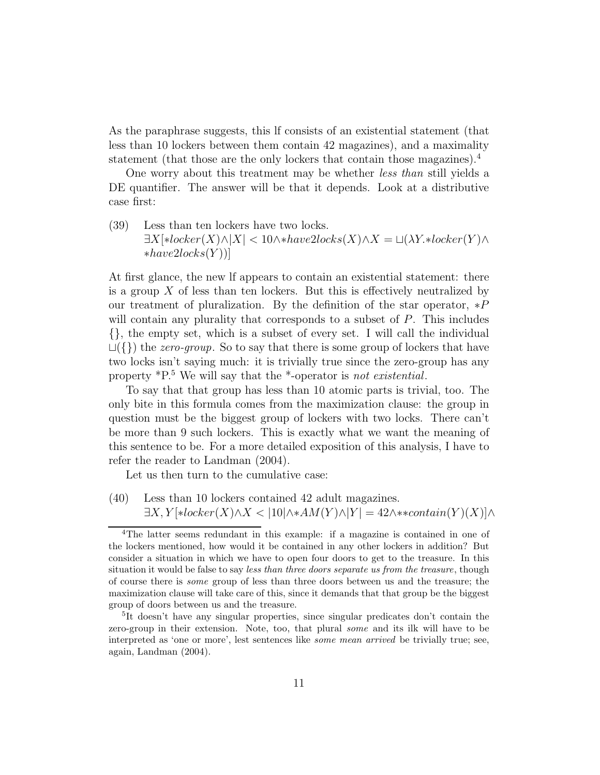As the paraphrase suggests, this lf consists of an existential statement (that less than 10 lockers between them contain 42 magazines), and a maximality statement (that those are the only lockers that contain those magazines).<sup>4</sup>

One worry about this treatment may be whether less than still yields a DE quantifier. The answer will be that it depends. Look at a distributive case first:

(39) Less than ten lockers have two locks.  $\exists X[\ast locker(X) \land |X| < 10 \land \ast have2locks(X) \land X = \sqcup (\lambda Y.\ast locker(Y) \land$  $*have2locks(Y)]$ 

At first glance, the new lf appears to contain an existential statement: there is a group  $X$  of less than ten lockers. But this is effectively neutralized by our treatment of pluralization. By the definition of the star operator,  $*P$ will contain any plurality that corresponds to a subset of P. This includes {}, the empty set, which is a subset of every set. I will call the individual  $L({} \{\})$  the *zero-group*. So to say that there is some group of lockers that have two locks isn't saying much: it is trivially true since the zero-group has any property \*P.<sup>5</sup> We will say that the \*-operator is not existential.

To say that that group has less than 10 atomic parts is trivial, too. The only bite in this formula comes from the maximization clause: the group in question must be the biggest group of lockers with two locks. There can't be more than 9 such lockers. This is exactly what we want the meaning of this sentence to be. For a more detailed exposition of this analysis, I have to refer the reader to Landman (2004).

Let us then turn to the cumulative case:

(40) Less than 10 lockers contained 42 adult magazines.  $\exists X, Y[*locker(X) \wedge X < 10 | \wedge *AM(Y) \wedge |Y| = 42 \wedge * *contain(Y)(X) | \wedge$ 

<sup>4</sup>The latter seems redundant in this example: if a magazine is contained in one of the lockers mentioned, how would it be contained in any other lockers in addition? But consider a situation in which we have to open four doors to get to the treasure. In this situation it would be false to say less than three doors separate us from the treasure, though of course there is some group of less than three doors between us and the treasure; the maximization clause will take care of this, since it demands that that group be the biggest group of doors between us and the treasure.

<sup>&</sup>lt;sup>5</sup>It doesn't have any singular properties, since singular predicates don't contain the zero-group in their extension. Note, too, that plural some and its ilk will have to be interpreted as 'one or more', lest sentences like some mean arrived be trivially true; see, again, Landman (2004).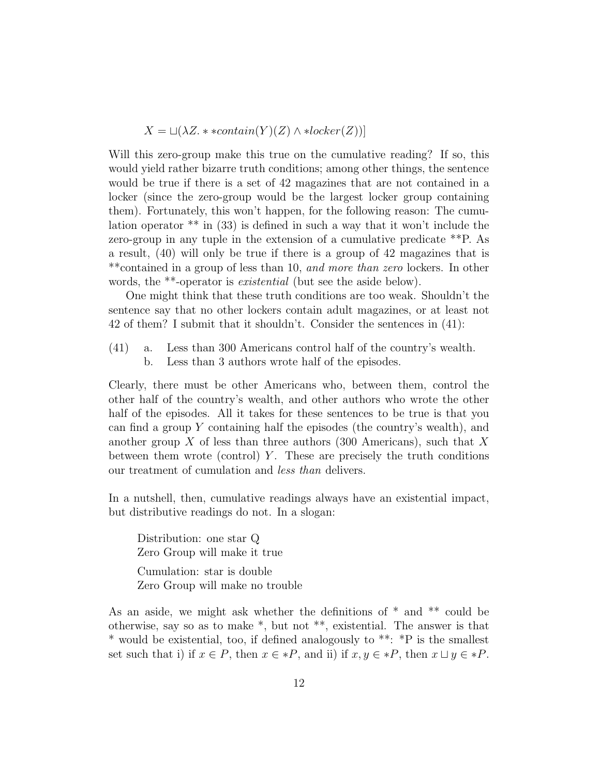$$
X = \sqcup (\lambda Z. * \ast contain(Y)(Z) \land *locker(Z))]
$$

Will this zero-group make this true on the cumulative reading? If so, this would yield rather bizarre truth conditions; among other things, the sentence would be true if there is a set of 42 magazines that are not contained in a locker (since the zero-group would be the largest locker group containing them). Fortunately, this won't happen, for the following reason: The cumulation operator \*\* in (33) is defined in such a way that it won't include the zero-group in any tuple in the extension of a cumulative predicate \*\*P. As a result, (40) will only be true if there is a group of 42 magazines that is \*\*contained in a group of less than 10, and more than zero lockers. In other words, the \*\*-operator is existential (but see the aside below).

One might think that these truth conditions are too weak. Shouldn't the sentence say that no other lockers contain adult magazines, or at least not 42 of them? I submit that it shouldn't. Consider the sentences in (41):

(41) a. Less than 300 Americans control half of the country's wealth. b. Less than 3 authors wrote half of the episodes.

Clearly, there must be other Americans who, between them, control the other half of the country's wealth, and other authors who wrote the other half of the episodes. All it takes for these sentences to be true is that you can find a group  $Y$  containing half the episodes (the country's wealth), and another group  $X$  of less than three authors (300 Americans), such that  $X$ between them wrote (control)  $Y$ . These are precisely the truth conditions our treatment of cumulation and less than delivers.

In a nutshell, then, cumulative readings always have an existential impact, but distributive readings do not. In a slogan:

Distribution: one star Q Zero Group will make it true Cumulation: star is double Zero Group will make no trouble

As an aside, we might ask whether the definitions of  $*$  and  $**$  could be otherwise, say so as to make \*, but not \*\*, existential. The answer is that \* would be existential, too, if defined analogously to \*\*: \*P is the smallest set such that i) if  $x \in P$ , then  $x \in *P$ , and ii) if  $x, y \in *P$ , then  $x \sqcup y \in *P$ .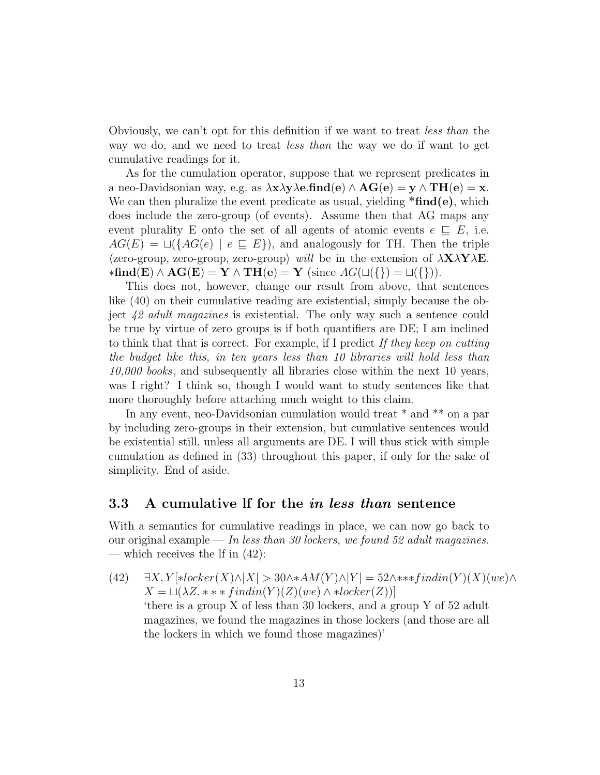Obviously, we can't opt for this definition if we want to treat less than the way we do, and we need to treat *less than* the way we do if want to get cumulative readings for it.

As for the cumulation operator, suppose that we represent predicates in a neo-Davidsonian way, e.g. as  $\lambda x \lambda y \lambda e$ .find(e)  $\wedge AG(e) = y \wedge TH(e) = x$ . We can then pluralize the event predicate as usual, yielding  $*\text{find}(e)$ , which does include the zero-group (of events). Assume then that AG maps any event plurality E onto the set of all agents of atomic events  $e \subseteq E$ , i.e.  $AG(E) = \sqcup({AG(e) | e \sqsubseteq E})$ , and analogously for TH. Then the triple  $\langle$ zero-group, zero-group, zero-group $\rangle$  will be in the extension of  $\lambda$ **X** $\lambda$ **Y** $\lambda$ **E**.  $\ast \mathbf{find}(E) \wedge \mathbf{AG}(E) = \mathbf{Y} \wedge \mathbf{TH}(e) = \mathbf{Y}$  (since  $AG(\sqcup(\{\}) = \sqcup(\{\})).$ 

This does not, however, change our result from above, that sentences like (40) on their cumulative reading are existential, simply because the object 42 adult magazines is existential. The only way such a sentence could be true by virtue of zero groups is if both quantifiers are DE; I am inclined to think that that is correct. For example, if I predict If they keep on cutting the budget like this, in ten years less than 10 libraries will hold less than 10,000 books, and subsequently all libraries close within the next 10 years, was I right? I think so, though I would want to study sentences like that more thoroughly before attaching much weight to this claim.

In any event, neo-Davidsonian cumulation would treat  $*$  and  $**$  on a par by including zero-groups in their extension, but cumulative sentences would be existential still, unless all arguments are DE. I will thus stick with simple cumulation as defined in (33) throughout this paper, if only for the sake of simplicity. End of aside.

#### 3.3 A cumulative lf for the in less than sentence

With a semantics for cumulative readings in place, we can now go back to our original example — In less than 30 lockers, we found 52 adult magazines. — which receives the If in  $(42)$ :

(42)  $\exists X, Y[*locker(X) \land |X| > 30 \land *AM(Y) \land |Y| = 52 \land ***findin(Y)(X)(we) \land$  $X = \sqcup (\lambda Z. \ast \ast \ast findin(Y)(Z)(we) \wedge \ast locker(Z))]$ 'there is a group X of less than 30 lockers, and a group Y of 52 adult magazines, we found the magazines in those lockers (and those are all the lockers in which we found those magazines)'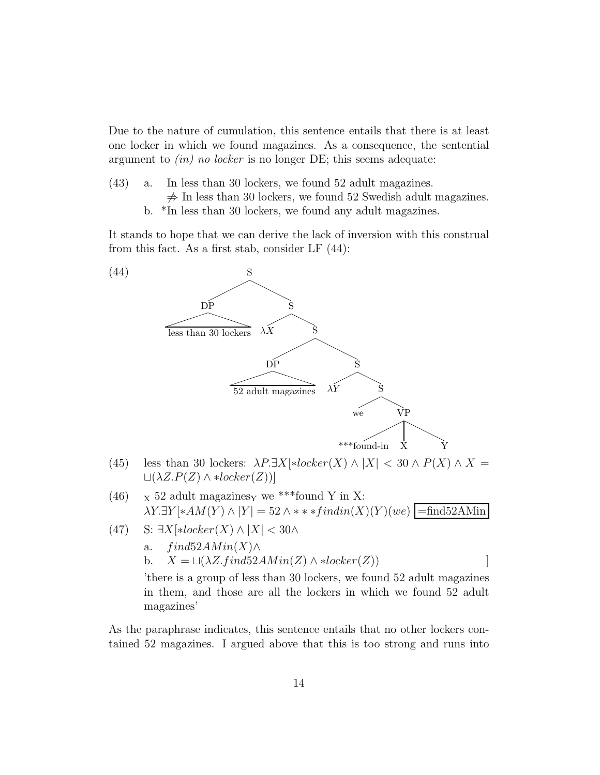Due to the nature of cumulation, this sentence entails that there is at least one locker in which we found magazines. As a consequence, the sentential argument to  $(in)$  no locker is no longer DE; this seems adequate:

- (43) a. In less than 30 lockers, we found 52 adult magazines.  $\neq$  In less than 30 lockers, we found 52 Swedish adult magazines.
	- b. \*In less than 30 lockers, we found any adult magazines.

It stands to hope that we can derive the lack of inversion with this construal from this fact. As a first stab, consider LF (44):



- (45) less than 30 lockers:  $\lambda P \exists X[\ast locker(X) \land |X| < 30 \land P(X) \land X =$  $L(\lambda Z.P(Z) \wedge *locker(Z))]$
- (46)  $\bar{X}$  52 adult magazines<sub>Y</sub> we \*\*\*found Y in X:  $\lambda Y. \exists Y[\ast AM(Y) \wedge |Y] = 52 \wedge \ast \ast findin(X)(Y)(we)$  =find52AMin
- (47) S:  $\exists X[\ast locker(X) \wedge |X| < 30 \wedge$ 
	- a.  $find52AMin(X) \wedge$

b. 
$$
X = \sqcup (\lambda Z \cdot find52AMin(Z) \land *locker(Z))
$$

'there is a group of less than 30 lockers, we found 52 adult magazines in them, and those are all the lockers in which we found 52 adult magazines'

As the paraphrase indicates, this sentence entails that no other lockers contained 52 magazines. I argued above that this is too strong and runs into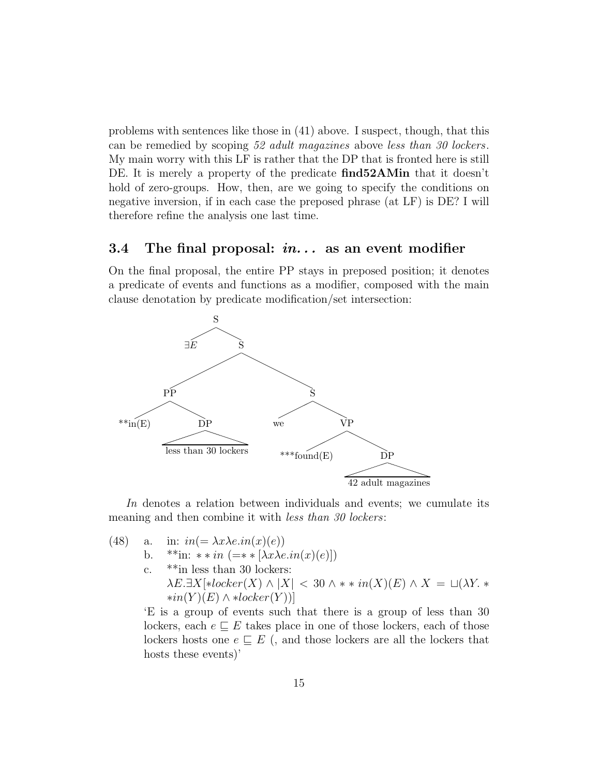problems with sentences like those in (41) above. I suspect, though, that this can be remedied by scoping 52 adult magazines above less than 30 lockers. My main worry with this LF is rather that the DP that is fronted here is still DE. It is merely a property of the predicate **find52AMin** that it doesn't hold of zero-groups. How, then, are we going to specify the conditions on negative inversion, if in each case the preposed phrase (at LF) is DE? I will therefore refine the analysis one last time.

#### 3.4 The final proposal:  $in...$  as an event modifier

On the final proposal, the entire PP stays in preposed position; it denotes a predicate of events and functions as a modifier, composed with the main clause denotation by predicate modification/set intersection:



In denotes a relation between individuals and events; we cumulate its meaning and then combine it with *less than 30 lockers*:

(48) a. in:  $in(=\lambda x \lambda e.in(x)(e))$ b. \*\*in: \*\*in $\leftarrow$  +\*in (=\*\* [ $\lambda x \lambda e.in(x)(e)$ ]) c. \*\*in less than 30 lockers:  $\lambda E \cdot \exists X[\ast locker(X) \land |X| < 30 \land \ast \ast in(X)(E) \land X = \sqcup(\lambda Y \cdot \ast$  $*in(Y)(E) \wedge *locker(Y))$ 

'E is a group of events such that there is a group of less than 30 lockers, each  $e \sqsubseteq E$  takes place in one of those lockers, each of those lockers hosts one  $e \subseteq E$  (, and those lockers are all the lockers that hosts these events)'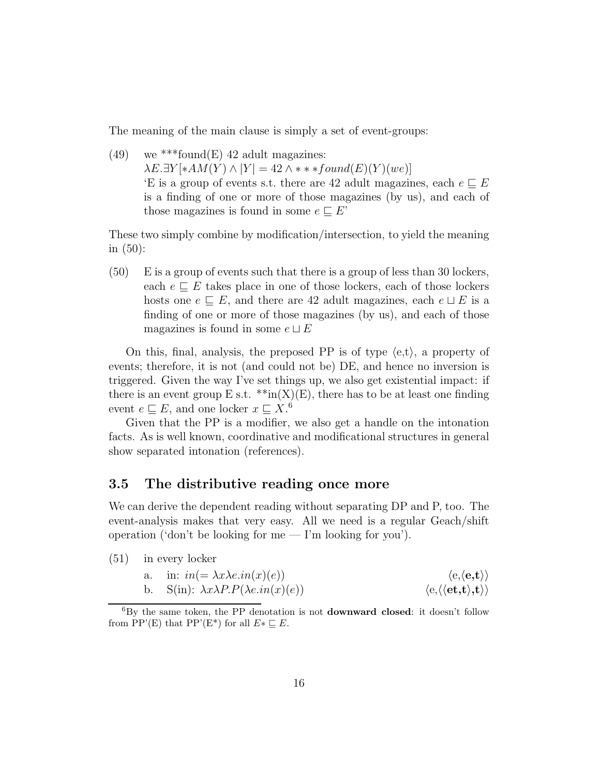The meaning of the main clause is simply a set of event-groups:

(49) we \*\*\* found  $(E)$  42 adult magazines:  $\lambda E.\exists Y[*AM(Y) \wedge |Y| = 42 \wedge **found(E)(Y)(we)]$ E is a group of events s.t. there are 42 adult magazines, each  $e \sqsubseteq E$ is a finding of one or more of those magazines (by us), and each of those magazines is found in some  $e \sqsubseteq E'$ 

These two simply combine by modification/intersection, to yield the meaning in (50):

(50) E is a group of events such that there is a group of less than 30 lockers, each  $e \sqsubseteq E$  takes place in one of those lockers, each of those lockers hosts one  $e \subseteq E$ , and there are 42 adult magazines, each  $e \sqcup E$  is a finding of one or more of those magazines (by us), and each of those magazines is found in some  $e \sqcup E$ 

On this, final, analysis, the preposed PP is of type  $\langle e,t \rangle$ , a property of events; therefore, it is not (and could not be) DE, and hence no inversion is triggered. Given the way I've set things up, we also get existential impact: if there is an event group E s.t.  $**in(X)(E)$ , there has to be at least one finding event  $e \sqsubseteq E$ , and one locker  $x \sqsubseteq X$ .<sup>6</sup>

Given that the PP is a modifier, we also get a handle on the intonation facts. As is well known, coordinative and modificational structures in general show separated intonation (references).

#### 3.5 The distributive reading once more

We can derive the dependent reading without separating DP and P, too. The event-analysis makes that very easy. All we need is a regular Geach/shift operation ('don't be looking for me  $-$  I'm looking for you').

(51) in every locker

a. in: 
$$
in(=\lambda x \lambda e.in(x)(e))
$$
  $\langle e, \langle e, t \rangle \rangle$   
b. S(in):  $\lambda x \lambda P.P(\lambda e.in(x)(e))$   $\langle e, \langle \langle e, t \rangle, t \rangle \rangle$ 

 ${}^{6}$ By the same token, the PP denotation is not **downward closed**: it doesn't follow from PP'(E) that PP'(E\*) for all  $E^* \sqsubseteq E$ .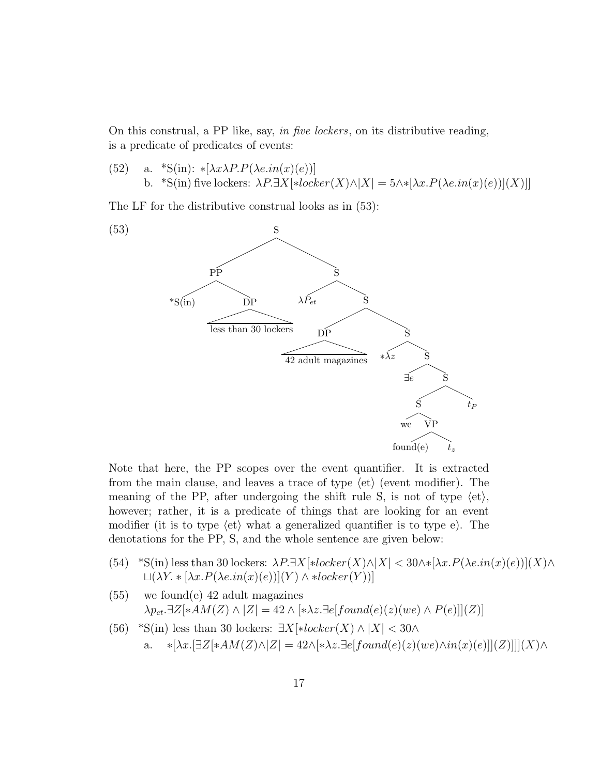On this construal, a PP like, say, in five lockers, on its distributive reading, is a predicate of predicates of events:

(52) a. \*S(in): \* $[\lambda x \lambda P.P(\lambda e.in(x)(e))]$ b. \*S(in) five lockers:  $\lambda P. \exists X[\ast locker(X) \land |X| = 5 \land \ast [\lambda x. P(\lambda e.in(x)(e))](X)]$ 

The LF for the distributive construal looks as in (53):



Note that here, the PP scopes over the event quantifier. It is extracted from the main clause, and leaves a trace of type  $\langle$ et $\rangle$  (event modifier). The meaning of the PP, after undergoing the shift rule S, is not of type  $\langle$ et $\rangle$ , however; rather, it is a predicate of things that are looking for an event modifier (it is to type  $\langle \text{et} \rangle$  what a generalized quantifier is to type e). The denotations for the PP, S, and the whole sentence are given below:

- (54) \*S(in) less than 30 lockers:  $\lambda P \exists X[*locker(X) \land |X| < 30 \land *[\lambda x.P(\lambda e.in(x)(e))](X) \land$  $L(XX * [\lambda x.P(\lambda e.in(x)(e))](Y) \wedge *locker(Y))]$
- (55) we found(e) 42 adult magazines  $\lambda p_{et}.\exists Z[*AM(Z) \wedge |Z| = 42 \wedge [\ast \lambda z.\exists e[found(e)(z)(we) \wedge P(e)]](Z)]$
- (56) \*S(in) less than 30 lockers:  $\exists X[*locker(X) \wedge |X| < 30 \wedge$ 
	- a. ∗ $[\lambda x.[\exists Z[\ast AM(Z) \land Z] = 42 \land [\ast \lambda z. \exists e [found(e)(z)(we) \land in(x)(e)]](Z)]]](X) \land$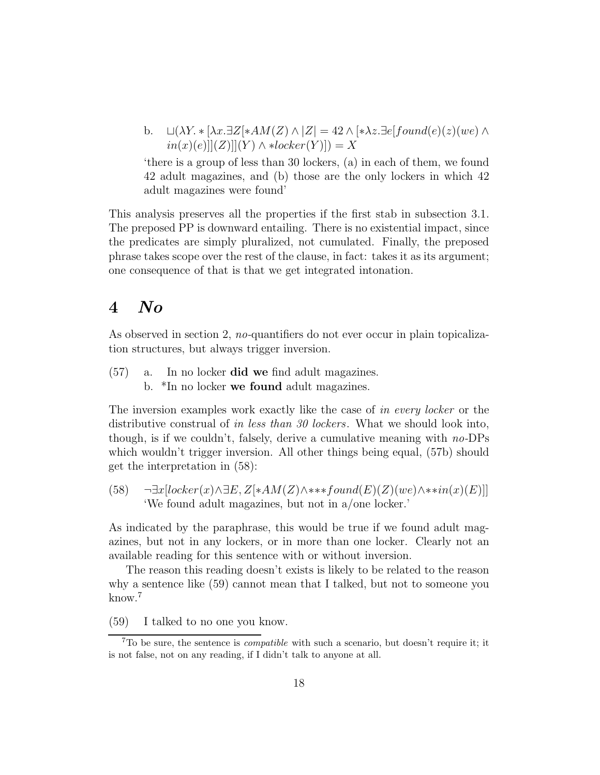b.  $\Box(\lambda Y. * [\lambda x. \exists Z] * AM(Z) \land |Z| = 42 \land [*\lambda z. \exists e[found(e)(z)(we) \land$  $in(x)(e)||(Z)||(Y) \wedge *locker(Y)|) = X$ 

'there is a group of less than 30 lockers, (a) in each of them, we found 42 adult magazines, and (b) those are the only lockers in which 42 adult magazines were found'

This analysis preserves all the properties if the first stab in subsection 3.1. The preposed PP is downward entailing. There is no existential impact, since the predicates are simply pluralized, not cumulated. Finally, the preposed phrase takes scope over the rest of the clause, in fact: takes it as its argument; one consequence of that is that we get integrated intonation.

## 4 No

As observed in section 2, no-quantifiers do not ever occur in plain topicalization structures, but always trigger inversion.

- (57) a. In no locker did we find adult magazines.
	- b. \*In no locker we found adult magazines.

The inversion examples work exactly like the case of in every locker or the distributive construal of in less than 30 lockers. What we should look into, though, is if we couldn't, falsely, derive a cumulative meaning with  $no$ -DPs which wouldn't trigger inversion. All other things being equal, (57b) should get the interpretation in (58):

 $(58)$  ¬∃x[locker(x)∧∃E, Z[\*AM(Z)∧\*\*\*found(E)(Z)(we)∧\*\* $in(x)(E)$ ]] 'We found adult magazines, but not in a/one locker.'

As indicated by the paraphrase, this would be true if we found adult magazines, but not in any lockers, or in more than one locker. Clearly not an available reading for this sentence with or without inversion.

The reason this reading doesn't exists is likely to be related to the reason why a sentence like (59) cannot mean that I talked, but not to someone you know.<sup>7</sup>

(59) I talked to no one you know.

 ${}^{7}$ To be sure, the sentence is *compatible* with such a scenario, but doesn't require it; it is not false, not on any reading, if I didn't talk to anyone at all.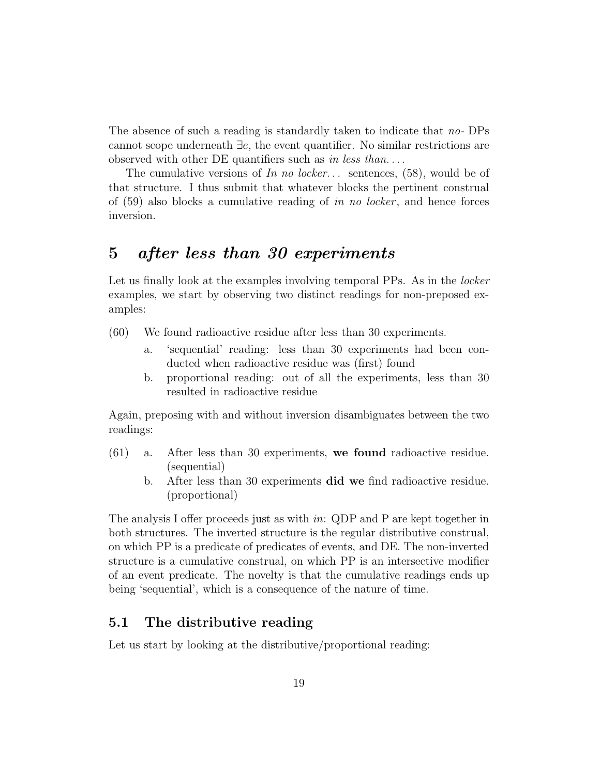The absence of such a reading is standardly taken to indicate that no- DPs cannot scope underneath ∃e, the event quantifier. No similar restrictions are observed with other DE quantifiers such as in less than....

The cumulative versions of In no locker... sentences,  $(58)$ , would be of that structure. I thus submit that whatever blocks the pertinent construal of  $(59)$  also blocks a cumulative reading of in no locker, and hence forces inversion.

## 5 after less than 30 experiments

Let us finally look at the examples involving temporal PPs. As in the *locker* examples, we start by observing two distinct readings for non-preposed examples:

- (60) We found radioactive residue after less than 30 experiments.
	- a. 'sequential' reading: less than 30 experiments had been conducted when radioactive residue was (first) found
	- b. proportional reading: out of all the experiments, less than 30 resulted in radioactive residue

Again, preposing with and without inversion disambiguates between the two readings:

- (61) a. After less than 30 experiments, we found radioactive residue. (sequential)
	- b. After less than 30 experiments did we find radioactive residue. (proportional)

The analysis I offer proceeds just as with in: QDP and P are kept together in both structures. The inverted structure is the regular distributive construal, on which PP is a predicate of predicates of events, and DE. The non-inverted structure is a cumulative construal, on which PP is an intersective modifier of an event predicate. The novelty is that the cumulative readings ends up being 'sequential', which is a consequence of the nature of time.

#### 5.1 The distributive reading

Let us start by looking at the distributive/proportional reading: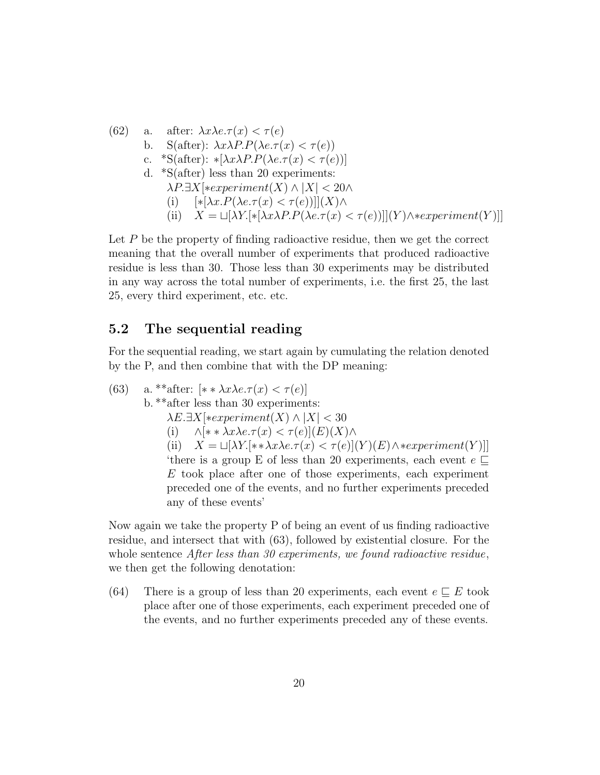\n- (62) a. after: 
$$
\lambda x \lambda e. \tau(x) < \tau(e)
$$
\n- b. S(after):  $\lambda x \lambda P. P(\lambda e. \tau(x) < \tau(e))$
\n- c. \*S(after):  $*[\lambda x \lambda P. P(\lambda e. \tau(x) < \tau(e))]$
\n- d. \*S(after) less than 20 experiments:  $\lambda P. \exists X[*experiment(X) \land |X| < 20 \land$
\n- (i)  $[*[\lambda x. P(\lambda e. \tau(x) < \tau(e))]](X) \land$
\n- (ii)  $X = \sqcup [\lambda Y.[*[\lambda x \lambda P. P(\lambda e. \tau(x) < \tau(e))]](Y) \land \text{*experiment}(Y)]]$
\n

Let  $P$  be the property of finding radioactive residue, then we get the correct meaning that the overall number of experiments that produced radioactive residue is less than 30. Those less than 30 experiments may be distributed in any way across the total number of experiments, i.e. the first 25, the last 25, every third experiment, etc. etc.

#### 5.2 The sequential reading

For the sequential reading, we start again by cumulating the relation denoted by the P, and then combine that with the DP meaning:

(63) a. 
$$
*\
$$
 after:  $[* \lambda x \lambda e. \tau(x) < \tau(e)]$ 

b. 
$$
**
$$
 after less than 30 experiments:

 $\lambda E \cdot \exists X[\ast experiment(X) \wedge |X| < 30$ 

(i)  $\wedge [\ast \ast \lambda x \lambda e.\tau(x) < \tau(e)](E)(X)\wedge$ 

(ii)  $X = \Box[\lambda Y.*\lambda x\lambda e.\tau(x) < \tau(e)](Y)(E)\wedge *experiment(Y)]$ ] 'there is a group E of less than 20 experiments, each event  $e \subseteq$ E took place after one of those experiments, each experiment preceded one of the events, and no further experiments preceded any of these events'

Now again we take the property P of being an event of us finding radioactive residue, and intersect that with (63), followed by existential closure. For the whole sentence After less than 30 experiments, we found radioactive residue, we then get the following denotation:

(64) There is a group of less than 20 experiments, each event  $e \sqsubseteq E$  took place after one of those experiments, each experiment preceded one of the events, and no further experiments preceded any of these events.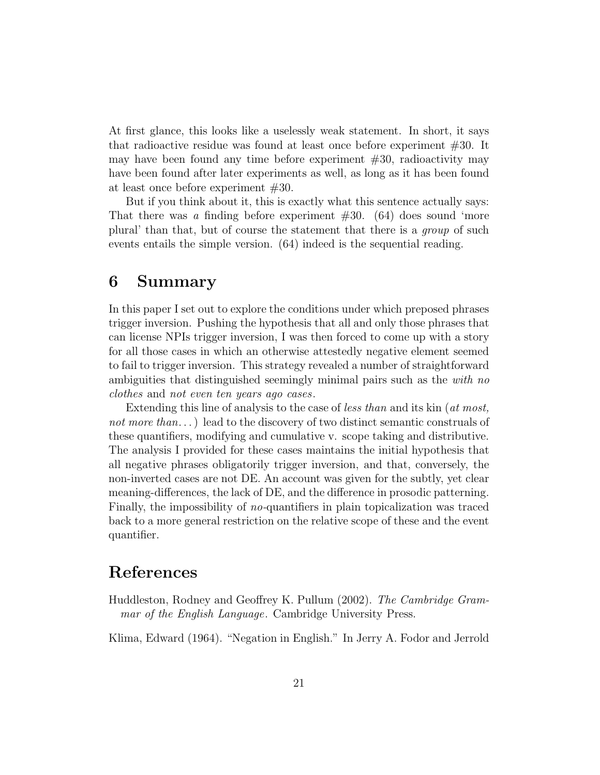At first glance, this looks like a uselessly weak statement. In short, it says that radioactive residue was found at least once before experiment #30. It may have been found any time before experiment #30, radioactivity may have been found after later experiments as well, as long as it has been found at least once before experiment #30.

But if you think about it, this is exactly what this sentence actually says: That there was a finding before experiment  $#30.$  (64) does sound 'more plural' than that, but of course the statement that there is a group of such events entails the simple version. (64) indeed is the sequential reading.

## 6 Summary

In this paper I set out to explore the conditions under which preposed phrases trigger inversion. Pushing the hypothesis that all and only those phrases that can license NPIs trigger inversion, I was then forced to come up with a story for all those cases in which an otherwise attestedly negative element seemed to fail to trigger inversion. This strategy revealed a number of straightforward ambiguities that distinguished seemingly minimal pairs such as the *with no* clothes and not even ten years ago cases.

Extending this line of analysis to the case of *less than* and its kin (*at most*, not more than...) lead to the discovery of two distinct semantic construals of these quantifiers, modifying and cumulative v. scope taking and distributive. The analysis I provided for these cases maintains the initial hypothesis that all negative phrases obligatorily trigger inversion, and that, conversely, the non-inverted cases are not DE. An account was given for the subtly, yet clear meaning-differences, the lack of DE, and the difference in prosodic patterning. Finally, the impossibility of no-quantifiers in plain topicalization was traced back to a more general restriction on the relative scope of these and the event quantifier.

### References

Huddleston, Rodney and Geoffrey K. Pullum (2002). The Cambridge Grammar of the English Language. Cambridge University Press.

Klima, Edward (1964). "Negation in English." In Jerry A. Fodor and Jerrold